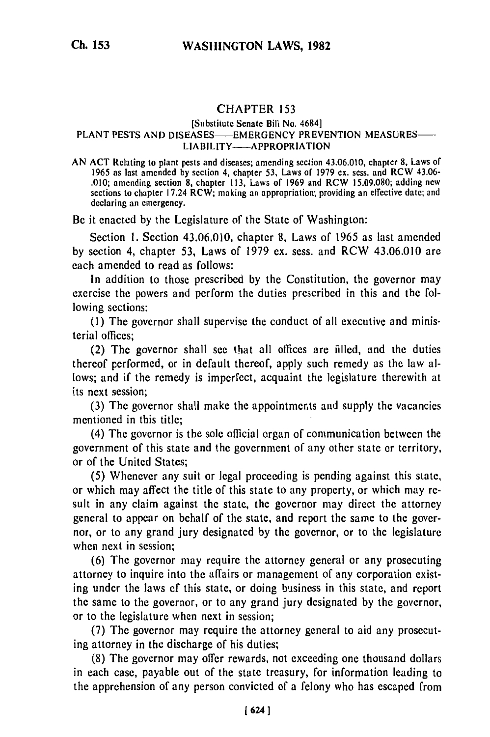## CHAPTER **<sup>153</sup>**

## [Substitute Senate Bill No. 4684] PUBLICULE DE PARTIE DE LA 1984]<br>PLANT PESTS AND DISEASES- EMERGENCY PREVENTION MEASURES-LAJLJ - LINLRULITU I FRETE<br>LIABILITY - APPROPRIATION

AN ACT Relating to plant pests and diseases; amending section 43.06.010, chapter **8,** Laws of 1965 as last amended by section 4, chapter 53, Laws of 1979 ex. scss. and RCW 43.06- .010; amending section 8, chapter 113, Laws of 1969 and RCW 15.09.080; adding new sections to chapter  $17.24$  RCW; making an appropriation; providing an effective date; and declaring an emergency.

Be it enacted by the Legislature of the State of Washington:

Section 1. Section 43.06.010, chapter 8, Laws of 1965 as last amended by section 4, chapter 53, Laws of 1979 ex. sess. and RCW 43.06.010 are each amended to read as follows:

In addition to those prescribed by the Constitution, the governor may exercise the powers and perform the duties prescribed in this and the following sections:

(1) The governor shall supervise the conduct of all executive and ministerial offices;

(2) The governor shall see that all offices are filled, and the duties thereof performed, or in default thereof, apply such remedy as the law allows; and if the remedy is imperfect, acquaint the legislature therewith at its next session;

(3) The governor shall make the appointments and supply the vacancies mentioned in this title;

(4) The governor is the sole official organ of communication between the government of this state and the government of any other state or territory, or of the United States;

(5) Whenever any suit or legal proceeding is pending against this state, or which may affect the title of this state to any property, or which may result in any claim against the state, the governor may direct the attorney general to appear on behalf of the state, and report the same to the governor, or to any grand jury designated by the governor, or to the legislature when next in session;

(6) The governor may require the attorney general or any prosecuting attorney to inquire into the affairs or management of any corporation existing under the laws of this state, or doing business in this state, and report the same to the governor, or to any grand jury designated by the governor, or to the legislature when next in session;

(7) The governor may require the attorney general to aid any prosecuting attorney in the discharge of his duties;

(8) The governor may offer rewards, not exceeding one thousand dollars in each case, payable out of the state treasury, for information leading to the apprehension of any person convicted of a felony who has escaped from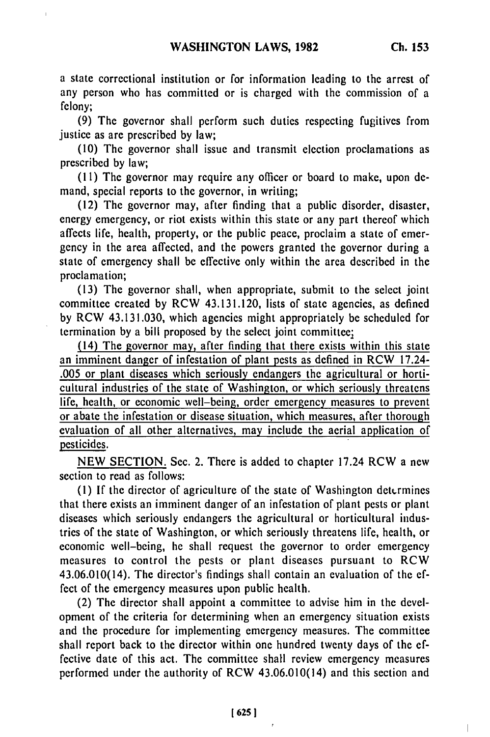a state correctional institution or for information leading to the arrest of any person who has committed or is charged with the commission of a felony;

(9) The governor shall perform such duties respecting fugitives from justice as are prescribed **by** law;

(10) The governor shall issue and transmit election proclamations as prescribed **by** law;

(11) The governor may require any officer or board to make, upon demand, special reports to the governor, in writing;

**(12)** The governor may, after finding that a public disorder, disaster, energy emergency, or riot exists within this state or any part thereof which affects life, health, property, or the public peace, proclaim a state of emergency in the area affected, and the powers granted the governor during a state of emergency shall be effective only within the area described in the proclamation;

(13) The governor shall, when appropriate, submit to the select joint committee created **by** RCW 43.131.120, lists of state agencies, as defined **by** RCW 43.131.030, which agencies might appropriately be scheduled for termination **by** a bill proposed **by** the select joint committee!

(14) The governor may, after finding that there exists within this state an imminent danger of infestation of plant pests as defined in RCW 17.24- **.005** or plant diseases which seriously endangers the agricultural or horticultural industries of the state of Washington, or which seriously threatens life, health, or economic well-being, order emergency measures to prevent or abate the infestation or disease situation, which measures, after thorough evaluation of all other alternatives, may include the aerial application of pesticides.

NEW SECTION. Sec. 2. There is added to chapter 17.24 RCW a new section to read as follows:

**(1) If** the director of agriculture of the state of Washington dett-rmines that there exists an imminent danger of an infestation of plant pests or plant diseases which seriously endangers the agricultural or horticultural industries of the state of Washington, or which seriously threatens life, health, or economic well-being, he shall request the governor to order emergency measures to control the pests or plant diseases pursuant to RCW 43.06.010(14). The director's findings shall contain an evaluation of the effect of the emergency measures upon public health.

(2) The director shall appoint a committee to advise him in the development of the criteria for determining when an emergency situation exists and the procedure for implementing emergency measures. The committee shall report back to the director within one hundred twenty days of the effective date of this act. The committee shall review emergency measures performed under the authority of RCW 43.06.010(14) and this section and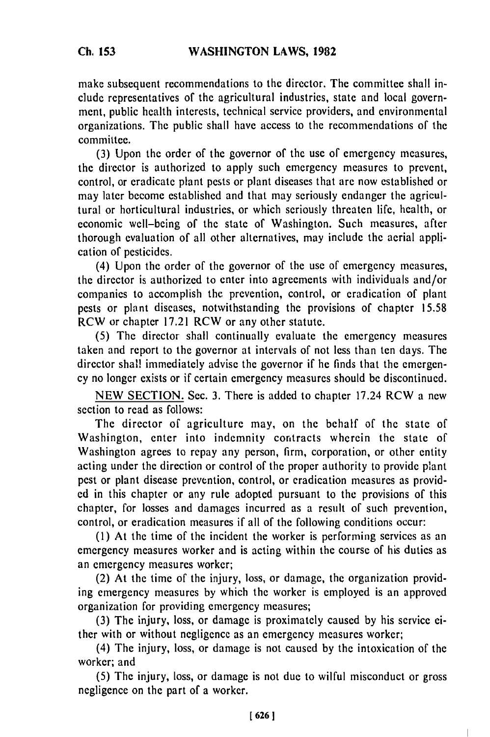make subsequent recommendations to the director. The committee shall include representatives of the agricultural industries, state and local government, public health interests, technical service providers, and environmental organizations. The public shall have access to the recommendations of the committee.

(3) Upon the order of the governor of the use of emergency measures, the director is authorized to apply such emergency measures to prevent, control, or eradicate plant pests or plant diseases that arc now established or may later become established and that may seriously endanger the agricultural or horticultural industries, or which seriously threaten life, health, or economic well-being of the state of Washington. Such measures, after thorough evaluation of all other alternatives, may include the aerial application of pesticides.

(4) Upon the order of the governor of the use of emergency measures, the director is authorized to enter into agreements with individuals and/or companies to accomplish the prevention, control, or eradication of plant pests or plant diseases, notwithstanding the provisions of chapter 15.58 RCW or chapter 17.21 RCW or any other statute.

(5) The director shall continually evaluate the emergency measures taken and report to the governor at intervals of not less than ten days. The director shall immediately advise the governor if he finds that the emergency no longer exists or if certain emergency measures should be discontinued.

NEW SECTION. Sec. 3. There is added to chapter 17.24 RCW a new section to read as follows:

The director of agriculture may, on the behalf of the state of Washington, enter into indemnity contracts wherein the state of Washington agrees to repay any person, firm, corporation, or other entity acting under the direction or control of the proper authority to provide plant pest or plant disease prevention, control, or eradication measures as provided in this chapter or any rule adopted pursuant to the provisions of this chapter, for losses and damages incurred as a result of such prevention, control, or eradication measures if all of the following conditions occur:

(1) At the time of the incident the worker is performing services as an emergency measures worker and is acting within the course of his duties as an emergency measures worker;

(2) At the time of the injury, loss, or damage, the organization providing emergency measures by which the worker is employed is an approved organization for providing emergency measures;

(3) The injury, loss, or damage is proximately caused by his service either with or without negligence as an emergency measures worker;

(4) The injury, loss, or damage is not caused by the intoxication of the worker; and

(5) The injury, loss, or damage is not due to wilful misconduct or gross negligence on the part of a worker.